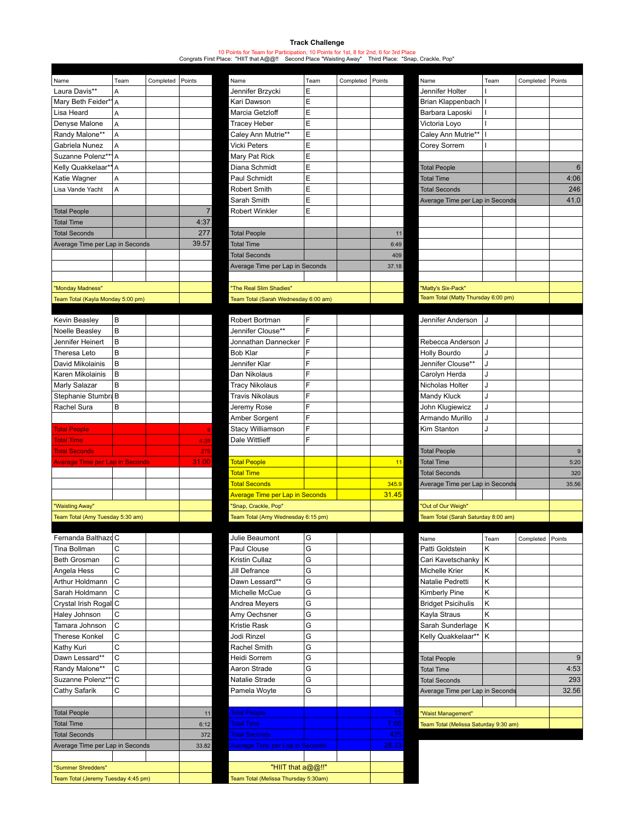## **Track Challenge**

10 Points for Team for Participation, 10 Points for 1st, 8 for 2nd, 6 for 3rd Place Congrats First Place: "HIIT that A@@!! Second Place "Waisting Away" Third Place: "Snap, Crackle, Pop"

| Name                              | Team | Completed | Points         | Name                           | Tea |  |
|-----------------------------------|------|-----------|----------------|--------------------------------|-----|--|
| Laura Davis**                     | A    |           |                | Jennifer Brzycki               | E   |  |
| Mary Beth Feider*1                | A    |           |                | Kari Dawson                    | E   |  |
| Lisa Heard                        | A    |           |                | Marcia Getzloff                | E   |  |
| Denyse Malone                     | A    |           |                | <b>Tracey Heber</b>            | E   |  |
| Randy Malone**                    | A    |           |                | Caley Ann Mutrie**             | E   |  |
| Gabriela Nunez                    | A    |           |                | <b>Vicki Peters</b>            | E   |  |
| Suzanne Polenz***                 | A    |           |                | Mary Pat Rick                  | E   |  |
| Kelly Quakkelaar**                | A    |           |                | Diana Schmidt                  | E   |  |
| Katie Wagner                      | A    |           |                | Paul Schmidt                   | E   |  |
| Lisa Vande Yacht                  | A    |           |                | Robert Smith                   | E   |  |
|                                   |      |           |                | Sarah Smith                    | E   |  |
| <b>Total People</b>               |      |           | $\overline{7}$ | <b>Robert Winkler</b>          | E   |  |
| <b>Total Time</b>                 |      |           | 4:37           |                                |     |  |
| <b>Total Seconds</b>              |      |           | 277            | <b>Total People</b>            |     |  |
| Average Time per Lap in Seconds   |      |           | 39.57          | <b>Total Time</b>              |     |  |
|                                   |      |           |                | <b>Total Seconds</b>           |     |  |
|                                   |      |           |                | Average Time per Lap in Seco   |     |  |
|                                   |      |           |                |                                |     |  |
| "Monday Madness"                  |      |           |                | "The Real Slim Shadies"        |     |  |
| Toam Tatal (Kayla Monday 5:00 pm) |      |           |                | Toam Total (Sarah Wadnooday Bu |     |  |

| Kevin Beasley                          | B |  |                                    | Robert Bortman                         | F |                                     | Jennifer Anderson               |  |
|----------------------------------------|---|--|------------------------------------|----------------------------------------|---|-------------------------------------|---------------------------------|--|
| Noelle Beasley                         | B |  |                                    | Jennifer Clouse**                      | F |                                     |                                 |  |
| Jennifer Heinert                       | B |  |                                    | Jonnathan Dannecker                    | F |                                     | Rebecca Anderson JJ             |  |
| Theresa Leto                           | B |  |                                    | Bob Klar                               | F |                                     | Holly Bourdo                    |  |
| David Mikolainis                       | B |  |                                    | Jennifer Klar                          | F |                                     | Jennifer Clouse**               |  |
| Karen Mikolainis                       | B |  |                                    | Dan Nikolaus                           | F |                                     | Carolyn Herda                   |  |
| Marly Salazar                          | B |  |                                    | <b>Tracy Nikolaus</b>                  | F |                                     | Nicholas Holter                 |  |
| Stephanie Stumbra B                    |   |  |                                    | <b>Travis Nikolaus</b>                 | F |                                     | Mandy Kluck                     |  |
| Rachel Sura                            | B |  |                                    | Jeremy Rose                            | F |                                     | John Klugiewicz                 |  |
|                                        |   |  |                                    | Amber Sorgent                          | F |                                     | Armando Murillo                 |  |
| <b>Total People</b>                    |   |  | 9                                  | Stacy Williamson                       | F |                                     | Kim Stanton                     |  |
| <b>Total Time</b>                      |   |  | 4:39                               | Dale Wittlieff                         | F |                                     |                                 |  |
| <b>Total Seconds</b>                   |   |  | 279                                |                                        |   |                                     | <b>Total People</b>             |  |
| <b>Average Time per Lap in Seconds</b> |   |  | 31.00                              | <b>Total People</b>                    |   | 11                                  | <b>Total Time</b>               |  |
|                                        |   |  |                                    | <b>Total Time</b>                      |   |                                     | <b>Total Seconds</b>            |  |
|                                        |   |  |                                    | <b>Total Seconds</b>                   |   | 345.9                               | Average Time per Lap in Seconds |  |
|                                        |   |  |                                    | <b>Average Time per Lap in Seconds</b> |   | 31.45                               |                                 |  |
| "Waisting Away"                        |   |  | "Snap, Crackle, Pop"               |                                        |   | "Out of Our Weigh"                  |                                 |  |
| Team Total (Amy Tuesday 5:30 am)       |   |  | Team Total (Amy Wednesday 6:15 pm) |                                        |   | Team Total (Sarah Saturday 8:00 am) |                                 |  |

| Fernanda Balthazd C                 |              |       | Julie Beaumont                         | G |  |
|-------------------------------------|--------------|-------|----------------------------------------|---|--|
| Tina Bollman                        | C            |       | Paul Clouse                            | G |  |
| Beth Grosman                        | C            |       | Kristin Cullaz                         | G |  |
| Angela Hess                         | Ċ            |       | Jill Defrance                          | G |  |
| Arthur Holdmann                     | C            |       | Dawn Lessard**                         | G |  |
| Sarah Holdmann                      | $\mathsf{C}$ |       | Michelle McCue                         | G |  |
| Crystal Irish Rogal C               |              |       | Andrea Meyers                          | G |  |
| Haley Johnson                       | Ċ            |       | Amy Oechsner                           | G |  |
| Tamara Johnson                      | Ċ            |       | <b>Kristie Rask</b>                    | G |  |
| <b>Therese Konkel</b>               | Ċ            |       | Jodi Rinzel                            | G |  |
| Kathy Kuri                          | Ċ            |       | Rachel Smith                           | G |  |
| Dawn Lessard**                      | C            |       | <b>Heidi Sorrem</b>                    | G |  |
| Randy Malone**                      | Ċ            |       | Aaron Strade                           | G |  |
| Suzanne Polenz**                    | C            |       | Natalie Strade                         | G |  |
| Cathy Safarik                       | C            |       | Pamela Woyte                           | G |  |
|                                     |              |       |                                        |   |  |
| <b>Total People</b>                 |              | 11    | <b>Total People</b>                    |   |  |
| <b>Total Time</b>                   |              | 6:12  | <b>Total Time</b>                      |   |  |
| <b>Total Seconds</b>                |              | 372   | <b>Total Seconds</b>                   |   |  |
| Average Time per Lap in Seconds     |              | 33.82 | <b>Average Time per Lap in Seconds</b> |   |  |
|                                     |              |       |                                        |   |  |
| "Summer Shredders"                  |              |       | "HIIT that a@@!!"                      |   |  |
| Team Total (Jeremy Tuesday 4:45 pm) |              |       | Team Total (Melissa Thursday 5:30am)   |   |  |

| Name                              | Team | Completed Points |       | Name                                 | Team | Completed | Points | Name                                | Team | Completed Points |      |
|-----------------------------------|------|------------------|-------|--------------------------------------|------|-----------|--------|-------------------------------------|------|------------------|------|
| Laura Davis**                     | A    |                  |       | Jennifer Brzycki                     | Ε    |           |        | Jennifer Holter                     |      |                  |      |
| Mary Beth Feider*1A               |      |                  |       | Kari Dawson                          | E    |           |        | Brian Klappenbach                   |      |                  |      |
| Lisa Heard                        | A    |                  |       | Marcia Getzloff                      | E    |           |        | Barbara Laposki                     |      |                  |      |
| Denyse Malone                     | A    |                  |       | <b>Tracey Heber</b>                  | E    |           |        | Victoria Lovo                       |      |                  |      |
| Randy Malone**                    | A    |                  |       | Caley Ann Mutrie**                   | E    |           |        | Caley Ann Mutrie**                  |      |                  |      |
| Gabriela Nunez                    | A    |                  |       | <b>Vicki Peters</b>                  | Ε    |           |        | Corey Sorrem                        |      |                  |      |
| Suzanne Polenz**1A                |      |                  |       | Mary Pat Rick                        | Ε    |           |        |                                     |      |                  |      |
| Kelly Quakkelaar**A               |      |                  |       | Diana Schmidt                        | E    |           |        | <b>Total People</b>                 |      |                  | 6    |
| Katie Wagner                      | A    |                  |       | Paul Schmidt                         | E    |           |        | <b>Total Time</b>                   |      |                  | 4:06 |
| Lisa Vande Yacht                  | A    |                  |       | Robert Smith                         | Ε    |           |        | <b>Total Seconds</b>                |      |                  | 246  |
|                                   |      |                  |       | Sarah Smith                          | E    |           |        | Average Time per Lap in Seconds     |      |                  | 41.0 |
| <b>Total People</b>               |      |                  |       | Robert Winkler                       | E    |           |        |                                     |      |                  |      |
| <b>Total Time</b>                 |      |                  | 4:37  |                                      |      |           |        |                                     |      |                  |      |
| <b>Total Seconds</b>              |      |                  | 277   | <b>Total People</b>                  |      |           | 11     |                                     |      |                  |      |
| Average Time per Lap in Seconds   |      |                  | 39.57 | <b>Total Time</b>                    |      |           | 6:49   |                                     |      |                  |      |
|                                   |      |                  |       | <b>Total Seconds</b>                 |      |           | 409    |                                     |      |                  |      |
|                                   |      |                  |       | Average Time per Lap in Seconds      |      |           | 37.18  |                                     |      |                  |      |
|                                   |      |                  |       |                                      |      |           |        |                                     |      |                  |      |
| "Monday Madness"                  |      |                  |       | "The Real Slim Shadies"              |      |           |        | "Matty's Six-Pack"                  |      |                  |      |
| Team Total (Kayla Monday 5:00 pm) |      |                  |       | Team Total (Sarah Wednesday 6:00 am) |      |           |        | Team Total (Matty Thursday 6:00 pm) |      |                  |      |

| Kevin Beasley                          | B |       | Robert Bortman                         |   |       | Jennifer Anderson                   |  |       |
|----------------------------------------|---|-------|----------------------------------------|---|-------|-------------------------------------|--|-------|
| Noelle Beasley                         | B |       | Jennifer Clouse**                      | Е |       |                                     |  |       |
| Jennifer Heinert                       | B |       | Jonnathan Dannecker                    |   |       | Rebecca Anderson   J                |  |       |
| Theresa Leto                           | в |       | Bob Klar                               | Е |       | Holly Bourdo                        |  |       |
| David Mikolainis                       | B |       | Jennifer Klar                          | Е |       | Jennifer Clouse**                   |  |       |
| Karen Mikolainis                       | B |       | Dan Nikolaus                           |   |       | Carolyn Herda                       |  |       |
| Marly Salazar                          | B |       | Tracy Nikolaus                         |   |       | Nicholas Holter                     |  |       |
| Stephanie Stumbra B                    |   |       | Travis Nikolaus                        | Е |       | Mandy Kluck                         |  |       |
| Rachel Sura                            | В |       | Jeremy Rose                            |   |       | John Klugiewicz                     |  |       |
|                                        |   |       | Amber Sorgent                          | Е |       | Armando Murillo                     |  |       |
| <b>Total People</b>                    |   |       | Stacy Williamson                       | F |       | Kim Stanton                         |  |       |
| <b>Total Time</b>                      |   | 4:39  | Dale Wittlieff                         | F |       |                                     |  |       |
| <b>Total Seconds</b>                   |   | 279   |                                        |   |       | <b>Total People</b>                 |  | 9     |
| <b>Average Time per Lap in Seconds</b> |   | 31.00 | <b>Total People</b>                    |   | 11    | <b>Total Time</b>                   |  | 5:20  |
|                                        |   |       | <b>Total Time</b>                      |   |       | <b>Total Seconds</b>                |  | 320   |
|                                        |   |       | <b>Total Seconds</b>                   |   | 345.9 | Average Time per Lap in Seconds     |  | 35.56 |
|                                        |   |       | <b>Average Time per Lap in Seconds</b> |   | 31.45 |                                     |  |       |
| "Waisting Away"                        |   |       | 'Snap, Crackle, Pop"                   |   |       | "Out of Our Weigh"                  |  |       |
| Toam Total (Amy Tugeday 5:30 am)       |   |       | Team Total (Amy Wedneeday 6:15 nm)     |   |       | Toam Total (Sarah Saturday 8:00 am) |  |       |

| Fernanda Balthazd C                 |   |       | Julie Beaumont                         | G |       | Name                                  | Team | Completed Points |       |
|-------------------------------------|---|-------|----------------------------------------|---|-------|---------------------------------------|------|------------------|-------|
| Tina Bollman                        | C |       | Paul Clouse                            | G |       | Patti Goldstein                       | ĸ    |                  |       |
| <b>Beth Grosman</b>                 | C |       | Kristin Cullaz                         | G |       | Cari Kavetschanky                     | K    |                  |       |
| Angela Hess                         | C |       | Jill Defrance                          | G |       | Michelle Krier                        | Κ    |                  |       |
| Arthur Holdmann                     | C |       | Dawn Lessard**                         | G |       | Natalie Pedretti                      | ĸ    |                  |       |
| Sarah Holdmann   C                  |   |       | Michelle McCue                         | G |       | Kimberly Pine                         | ĸ    |                  |       |
| Crystal Irish Rogal∣ C              |   |       | Andrea Meyers                          | G |       | <b>Bridget Psicihulis</b>             | K    |                  |       |
| Haley Johnson                       | C |       | Amy Oechsner                           | G |       | Kayla Straus                          | ĸ    |                  |       |
| Tamara Johnson                      | C |       | Kristie Rask                           | G |       | Sarah Sunderlage                      | K    |                  |       |
| Therese Konkel                      | C |       | Jodi Rinzel                            | G |       | Kelly Quakkelaar**   K                |      |                  |       |
| Kathy Kuri                          | C |       | Rachel Smith                           | G |       |                                       |      |                  |       |
| Dawn Lessard**                      | C |       | Heidi Sorrem                           | G |       | <b>Total People</b>                   |      |                  | 9     |
| Randy Malone**                      | C |       | Aaron Strade                           | G |       | <b>Total Time</b>                     |      |                  | 4:53  |
| Suzanne Polenz**1C                  |   |       | Natalie Strade                         | G |       | <b>Total Seconds</b>                  |      |                  | 293   |
| Cathy Safarik                       | C |       | Pamela Woyte                           | G |       | Average Time per Lap in Seconds       |      |                  | 32.56 |
|                                     |   |       |                                        |   |       |                                       |      |                  |       |
| <b>Total People</b>                 |   | 11    | <b>Total People</b>                    |   | 15    | "Waist Management"                    |      |                  |       |
| <b>Total Time</b>                   |   | 6:12  | <b>Total Time</b>                      |   | 7:05  | Team Total (Melissa Saturday 9:30 am) |      |                  |       |
| <b>Total Seconds</b>                |   | 372   | <b>Total Seconds</b>                   |   | 425   |                                       |      |                  |       |
| Average Time per Lap in Seconds     |   | 33.82 | <b>Average Time per Lap in Seconds</b> |   | 28.33 |                                       |      |                  |       |
|                                     |   |       |                                        |   |       |                                       |      |                  |       |
| "Summer Shredders"                  |   |       | "HIIT that a@@!!"                      |   |       |                                       |      |                  |       |
| Toom Total (Jaromy Tugodov 4:45 am) |   |       | Toom Total (Maligan Thursday E:20am)   |   |       |                                       |      |                  |       |

| Name                                | Team | Completed | Points |
|-------------------------------------|------|-----------|--------|
| Jennifer Holter                     | ı    |           |        |
| Brian Klappenbach                   | I    |           |        |
| Barbara Laposki                     | I    |           |        |
| Victoria Loyo                       | I    |           |        |
| Caley Ann Mutrie**                  | I    |           |        |
| Corey Sorrem                        | I    |           |        |
|                                     |      |           |        |
| <b>Total People</b>                 |      |           | 6      |
| <b>Total Time</b>                   |      |           | 4:06   |
| <b>Total Seconds</b>                |      |           | 246    |
| Average Time per Lap in Seconds     |      |           | 41.0   |
|                                     |      |           |        |
|                                     |      |           |        |
|                                     |      |           |        |
|                                     |      |           |        |
|                                     |      |           |        |
|                                     |      |           |        |
|                                     |      |           |        |
| "Matty's Six-Pack"                  |      |           |        |
| Team Total (Matty Thursday 6:00 pm) |      |           |        |
|                                     |      |           |        |
| Jennifer Anderson                   | J    |           |        |
|                                     |      |           |        |
| Rebecca Anderson                    | J    |           |        |
| <b>Holly Bourdo</b>                 | J    |           |        |
| Jennifer Clouse**                   | J    |           |        |
| Carolyn Herda                       | J    |           |        |
| Nicholas Holter                     | J    |           |        |
| <b>Mandy Kluck</b>                  | J    |           |        |
| John Klugiewicz                     | J    |           |        |
| Armando Murillo                     | J    |           |        |
| Kim Stanton                         | J    |           |        |
|                                     |      |           |        |
| <b>Total People</b>                 |      |           | 9      |
| <b>Total Time</b>                   |      |           | 5:20   |
|                                     |      |           |        |

|                                     |  | 320                             |  |  |  |
|-------------------------------------|--|---------------------------------|--|--|--|
|                                     |  | 35.56                           |  |  |  |
|                                     |  |                                 |  |  |  |
| "Out of Our Weigh"                  |  |                                 |  |  |  |
| Team Total (Sarah Saturday 8:00 am) |  |                                 |  |  |  |
|                                     |  | Average Time per Lap in Seconds |  |  |  |

| Name                                  | Team | Completed | Points |
|---------------------------------------|------|-----------|--------|
| Patti Goldstein                       | ĸ    |           |        |
| Cari Kavetschanky                     | ĸ    |           |        |
| Michelle Krier                        | ĸ    |           |        |
| Natalie Pedretti                      | ĸ    |           |        |
| Kimberly Pine                         | ĸ    |           |        |
| <b>Bridget Psicihulis</b>             | κ    |           |        |
| Kayla Straus                          | ĸ    |           |        |
| Sarah Sunderlage                      | ĸ    |           |        |
| Kelly Quakkelaar**                    | κ    |           |        |
|                                       |      |           |        |
| <b>Total People</b>                   |      |           | 9      |
| <b>Total Time</b>                     |      |           | 4:53   |
| <b>Total Seconds</b>                  |      |           | 293    |
| Average Time per Lap in Seconds       |      |           | 32.56  |
|                                       |      |           |        |
| "Waist Management"                    |      |           |        |
| Team Total (Melissa Saturday 9:30 am) |      |           |        |